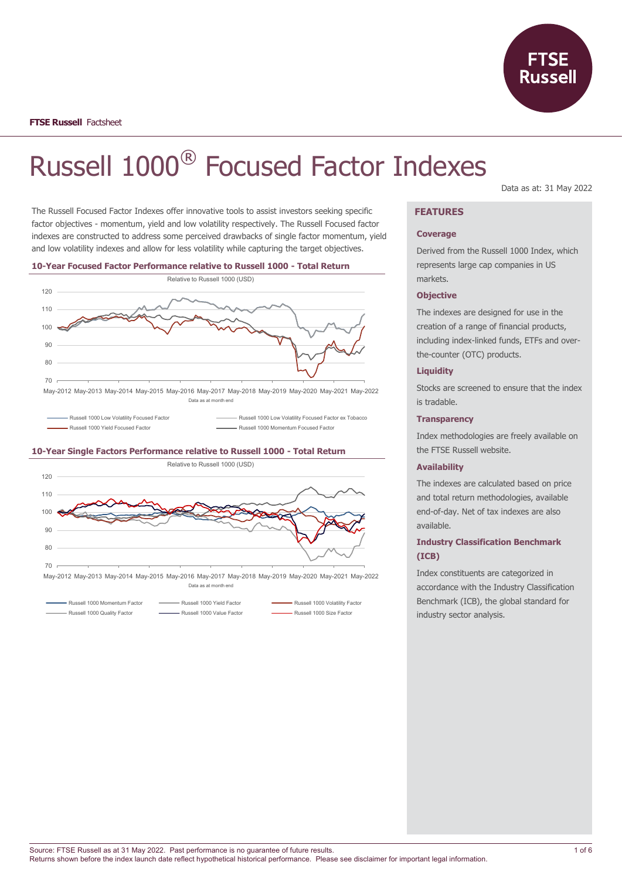

# Russell 1000® Focused Factor Indexes

The Russell Focused Factor Indexes offer innovative tools to assist investors seeking specific factor objectives - momentum, yield and low volatility respectively. The Russell Focused factor indexes are constructed to address some perceived drawbacks of single factor momentum, yield and low volatility indexes and allow for less volatility while capturing the target objectives.



- Russell 1000 Low Volatility Focused Factor **Russell 1000 Low Volatility Focused Factor ex Tobacco** 

Russell 1000 Yield Focused Factor **Russell 1000 Momentum Focused Factor** Russell 1000 Momentum Focused Factor

#### **10-Year Single Factors Performance relative to Russell 1000 - Total Return**



May-2012 May-2013 May-2014 May-2015 May-2016 May-2017 May-2018 May-2019 May-2020 May-2021 May-2022 Data as at month end

Russell 1000 Quality Factor **Commence Commence** Russell 1000 Value Factor **Commence Commence** Russell 1000 Size Factor

Russell 1000 Momentum Factor **Communisties** Russell 1000 Yield Factor **Communisties** Russell 1000 Volatility Factor

Data as at: 31 May 2022

# **FEATURES**

#### **Coverage**

Derived from the Russell 1000 Index, which represents large cap companies in US markets.

#### **Objective**

The indexes are designed for use in the creation of a range of financial products, including index-linked funds, ETFs and overthe-counter (OTC) products.

#### **Liquidity**

Stocks are screened to ensure that the index is tradable.

#### **Transparency**

Index methodologies are freely available on the FTSE Russell website.

#### **Availability**

The indexes are calculated based on price and total return methodologies, available end-of-day. Net of tax indexes are also available.

# **Industry Classification Benchmark (ICB)**

Index constituents are categorized in accordance with the Industry Classification Benchmark (ICB), the global standard for industry sector analysis.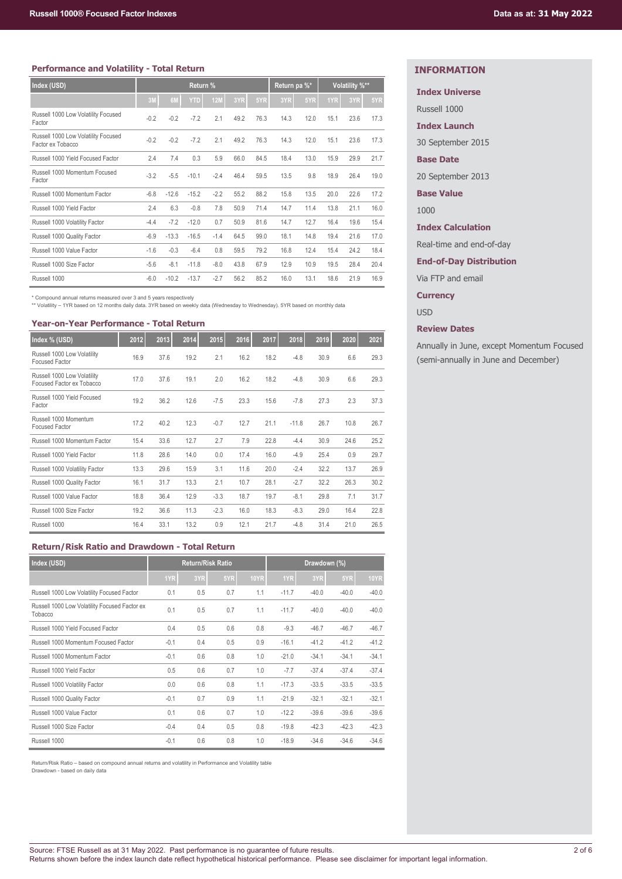#### **Performance and Volatility - Total Return**

| Index (USD)                                              | Return % |         |         | Return pa %* |      |      | Volatility %** |      |      |      |      |
|----------------------------------------------------------|----------|---------|---------|--------------|------|------|----------------|------|------|------|------|
|                                                          | 3M       | 6M      | YTD     | <b>12M</b>   | 3YR  | 5YR  | 3YR            | 5YR  | 1YR  | 3YR  | 5YR  |
| Russell 1000 Low Volatility Focused<br>Factor            | $-0.2$   | $-0.2$  | $-7.2$  | 2.1          | 49.2 | 76.3 | 14.3           | 12.0 | 15.1 | 23.6 | 17.3 |
| Russell 1000 Low Volatility Focused<br>Factor ex Tobacco | $-0.2$   | $-0.2$  | $-7.2$  | 2.1          | 49.2 | 76.3 | 14.3           | 12.0 | 15.1 | 23.6 | 17.3 |
| Russell 1000 Yield Focused Factor                        | 2.4      | 7.4     | 0.3     | 5.9          | 66.0 | 84.5 | 18.4           | 13.0 | 15.9 | 29.9 | 21.7 |
| Russell 1000 Momentum Focused<br>Factor                  | $-3.2$   | $-5.5$  | $-10.1$ | $-2.4$       | 46.4 | 59.5 | 13.5           | 9.8  | 18.9 | 26.4 | 19.0 |
| Russell 1000 Momentum Factor                             | $-6.8$   | $-12.6$ | $-15.2$ | $-2.2$       | 55.2 | 88.2 | 15.8           | 13.5 | 20.0 | 22.6 | 17.2 |
| Russell 1000 Yield Factor                                | 2.4      | 6.3     | $-0.8$  | 7.8          | 50.9 | 71.4 | 14.7           | 11.4 | 13.8 | 21.1 | 16.0 |
| Russell 1000 Volatility Factor                           | $-4.4$   | $-7.2$  | $-12.0$ | 0.7          | 50.9 | 81.6 | 14.7           | 12.7 | 16.4 | 19.6 | 15.4 |
| Russell 1000 Quality Factor                              | $-6.9$   | $-13.3$ | $-16.5$ | $-1.4$       | 64.5 | 99.0 | 18.1           | 14.8 | 19.4 | 21.6 | 17.0 |
| Russell 1000 Value Factor                                | $-1.6$   | $-0.3$  | $-6.4$  | 0.8          | 59.5 | 79.2 | 16.8           | 12.4 | 15.4 | 24.2 | 18.4 |
| Russell 1000 Size Factor                                 | $-5.6$   | $-8.1$  | $-11.8$ | $-8.0$       | 43.8 | 67.9 | 12.9           | 10.9 | 19.5 | 28.4 | 20.4 |
| Russell 1000                                             | $-6.0$   | $-10.2$ | $-13.7$ | $-2.7$       | 56.2 | 85.2 | 16.0           | 13.1 | 18.6 | 21.9 | 16.9 |

\* Compound annual returns measured over 3 and 5 years respectively \*\* Volatility – 1YR based on 12 months daily data. 3YR based on weekly data (Wednesday to Wednesday). 5YR based on monthly data

# **Year-on-Year Performance - Total Return**

| Index % (USD)                                            | 2012 | 2013 | 2014 | 2015   | 2016 | 2017 | 2018    | 2019 | 2020 | 2021 |
|----------------------------------------------------------|------|------|------|--------|------|------|---------|------|------|------|
| Russell 1000 Low Volatility<br><b>Focused Factor</b>     | 16.9 | 37.6 | 19.2 | 2.1    | 16.2 | 18.2 | $-4.8$  | 30.9 | 6.6  | 29.3 |
| Russell 1000 Low Volatility<br>Focused Factor ex Tobacco | 17.0 | 37.6 | 19.1 | 2.0    | 16.2 | 18.2 | $-4.8$  | 30.9 | 6.6  | 29.3 |
| Russell 1000 Yield Focused<br>Factor                     | 19.2 | 36.2 | 12.6 | $-7.5$ | 23.3 | 15.6 | $-7.8$  | 27.3 | 2.3  | 37.3 |
| Russell 1000 Momentum<br><b>Focused Factor</b>           | 17.2 | 40.2 | 12.3 | $-0.7$ | 12.7 | 21.1 | $-11.8$ | 26.7 | 10.8 | 26.7 |
| Russell 1000 Momentum Factor                             | 15.4 | 33.6 | 12.7 | 2.7    | 7.9  | 22.8 | $-4.4$  | 30.9 | 24.6 | 25.2 |
| Russell 1000 Yield Factor                                | 11.8 | 28.6 | 14.0 | 0.0    | 17.4 | 16.0 | $-4.9$  | 25.4 | 0.9  | 29.7 |
| Russell 1000 Volatility Factor                           | 13.3 | 29.6 | 15.9 | 3.1    | 11.6 | 20.0 | $-2.4$  | 32.2 | 13.7 | 26.9 |
| Russell 1000 Quality Factor                              | 16.1 | 31.7 | 13.3 | 2.1    | 10.7 | 28.1 | $-2.7$  | 32.2 | 26.3 | 30.2 |
| Russell 1000 Value Factor                                | 18.8 | 36.4 | 12.9 | $-3.3$ | 18.7 | 19.7 | $-8.1$  | 29.8 | 7.1  | 31.7 |
| Russell 1000 Size Factor                                 | 19.2 | 36.6 | 11.3 | $-2.3$ | 16.0 | 18.3 | $-8.3$  | 29.0 | 16.4 | 22.8 |
| Russell 1000                                             | 16.4 | 33.1 | 13.2 | 0.9    | 12.1 | 21.7 | $-4.8$  | 31.4 | 21.0 | 26.5 |

# **Return/Risk Ratio and Drawdown - Total Return**

| Index (USD)                                              | <b>Return/Risk Ratio</b> |     |     |             |         | Drawdown (%) |         |             |
|----------------------------------------------------------|--------------------------|-----|-----|-------------|---------|--------------|---------|-------------|
|                                                          | 1YR                      | 3YR | 5YR | <b>10YR</b> | 1YR     | 3YR          | 5YR     | <b>10YR</b> |
| Russell 1000 Low Volatility Focused Factor               | 0.1                      | 0.5 | 0.7 | 1.1         | $-11.7$ | $-40.0$      | $-40.0$ | $-40.0$     |
| Russell 1000 Low Volatility Focused Factor ex<br>Tobacco | 0.1                      | 0.5 | 0.7 | 1.1         | $-11.7$ | $-40.0$      | $-40.0$ | $-40.0$     |
| Russell 1000 Yield Focused Factor                        | 0.4                      | 0.5 | 0.6 | 0.8         | $-9.3$  | $-46.7$      | $-46.7$ | $-46.7$     |
| Russell 1000 Momentum Focused Factor                     | $-0.1$                   | 0.4 | 0.5 | 0.9         | $-16.1$ | $-41.2$      | $-41.2$ | $-41.2$     |
| Russell 1000 Momentum Factor                             | $-0.1$                   | 0.6 | 0.8 | 1.0         | $-21.0$ | $-34.1$      | $-34.1$ | $-34.1$     |
| Russell 1000 Yield Factor                                | 0.5                      | 0.6 | 0.7 | 1.0         | $-7.7$  | $-37.4$      | $-37.4$ | $-37.4$     |
| Russell 1000 Volatility Factor                           | 0.0                      | 0.6 | 0.8 | 1.1         | $-17.3$ | $-33.5$      | $-33.5$ | $-33.5$     |
| Russell 1000 Quality Factor                              | $-0.1$                   | 0.7 | 0.9 | 1.1         | $-21.9$ | $-32.1$      | $-32.1$ | $-32.1$     |
| Russell 1000 Value Factor                                | 0.1                      | 0.6 | 0.7 | 1.0         | $-12.2$ | $-39.6$      | $-39.6$ | $-39.6$     |
| Russell 1000 Size Factor                                 | $-0.4$                   | 0.4 | 0.5 | 0.8         | $-19.8$ | $-42.3$      | $-42.3$ | $-42.3$     |
| Russell 1000                                             | $-0.1$                   | 0.6 | 0.8 | 1.0         | $-18.9$ | $-34.6$      | $-34.6$ | $-34.6$     |

Return/Risk Ratio – based on compound annual returns and volatility in Performance and Volatility table Drawdown - based on daily data

# **INFORMATION**

# **Index Universe**

Russell 1000

**Index Launch**

30 September 2015

#### **Base Date**

20 September 2013

**Base Value**

1000

**Index Calculation**

Real-time and end-of-day

**End-of-Day Distribution**

Via FTP and email

**Currency**

USD

#### **Review Dates**

Annually in June, except Momentum Focused (semi-annually in June and December)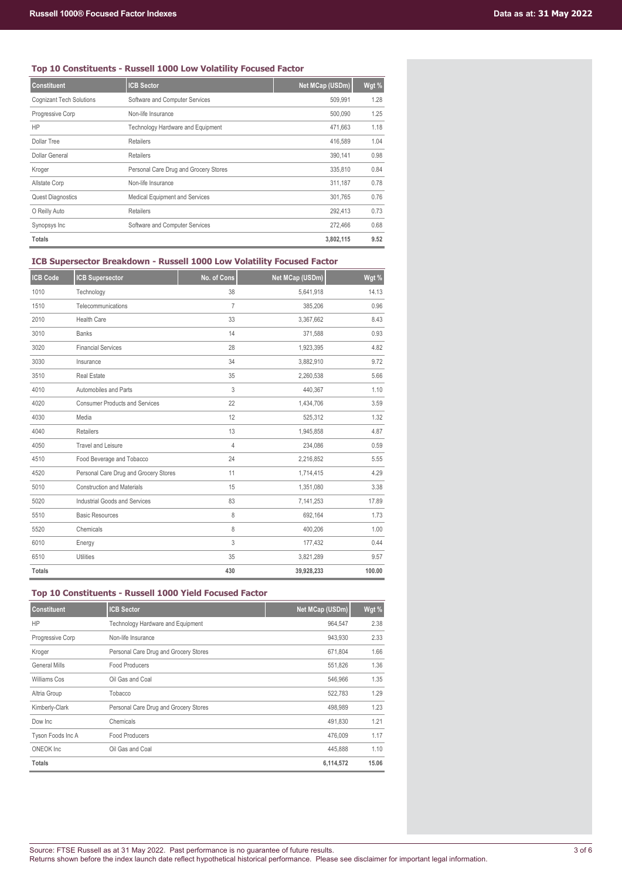# **Top 10 Constituents - Russell 1000 Low Volatility Focused Factor**

| <b>Constituent</b>              | <b>ICB Sector</b>                     | Net MCap (USDm) | Wgt % |
|---------------------------------|---------------------------------------|-----------------|-------|
| <b>Cognizant Tech Solutions</b> | Software and Computer Services        | 509.991         | 1.28  |
| Progressive Corp                | Non-life Insurance                    | 500.090         | 1.25  |
| <b>HP</b>                       | Technology Hardware and Equipment     | 471.663         | 1.18  |
| <b>Dollar Tree</b>              | <b>Retailers</b>                      | 416,589         | 1.04  |
| Dollar General                  | Retailers                             | 390.141         | 0.98  |
| Kroger                          | Personal Care Drug and Grocery Stores | 335,810         | 0.84  |
| Allstate Corp                   | Non-life Insurance                    | 311,187         | 0.78  |
| <b>Quest Diagnostics</b>        | Medical Equipment and Services        | 301,765         | 0.76  |
| O Reilly Auto                   | Retailers                             | 292,413         | 0.73  |
| Synopsys Inc                    | Software and Computer Services        | 272.466         | 0.68  |
| <b>Totals</b>                   |                                       | 3,802,115       | 9.52  |

#### **ICB Supersector Breakdown - Russell 1000 Low Volatility Focused Factor**

| <b>ICB Code</b> | <b>ICB Supersector</b>                | No. of Cons | Net MCap (USDm) | Wgt %  |
|-----------------|---------------------------------------|-------------|-----------------|--------|
| 1010            | Technology                            | 38          | 5,641,918       | 14.13  |
| 1510            | Telecommunications                    | 7           | 385,206         | 0.96   |
| 2010            | <b>Health Care</b>                    | 33          | 3,367,662       | 8.43   |
| 3010            | <b>Banks</b>                          | 14          | 371,588         | 0.93   |
| 3020            | <b>Financial Services</b>             | 28          | 1,923,395       | 4.82   |
| 3030            | Insurance                             | 34          | 3,882,910       | 9.72   |
| 3510            | <b>Real Estate</b>                    | 35          | 2,260,538       | 5.66   |
| 4010            | Automobiles and Parts                 | 3           | 440,367         | 1.10   |
| 4020            | <b>Consumer Products and Services</b> | 22          | 1,434,706       | 3.59   |
| 4030            | Media                                 | 12          | 525,312         | 1.32   |
| 4040            | Retailers                             | 13          | 1,945,858       | 4.87   |
| 4050            | <b>Travel and Leisure</b>             | 4           | 234,086         | 0.59   |
| 4510            | Food Beverage and Tobacco             | 24          | 2,216,852       | 5.55   |
| 4520            | Personal Care Drug and Grocery Stores | 11          | 1,714,415       | 4.29   |
| 5010            | <b>Construction and Materials</b>     | 15          | 1,351,080       | 3.38   |
| 5020            | Industrial Goods and Services         | 83          | 7,141,253       | 17.89  |
| 5510            | <b>Basic Resources</b>                | 8           | 692,164         | 1.73   |
| 5520            | Chemicals                             | 8           | 400,206         | 1.00   |
| 6010            | Energy                                | 3           | 177,432         | 0.44   |
| 6510            | <b>Utilities</b>                      | 35          | 3,821,289       | 9.57   |
| <b>Totals</b>   |                                       | 430         | 39,928,233      | 100.00 |

# **Top 10 Constituents - Russell 1000 Yield Focused Factor**

| <b>Constituent</b> | <b>ICB Sector</b>                     | Net MCap (USDm) | Wgt % |
|--------------------|---------------------------------------|-----------------|-------|
| <b>HP</b>          | Technology Hardware and Equipment     | 964.547         | 2.38  |
| Progressive Corp   | Non-life Insurance                    | 943.930         | 2.33  |
| Kroger             | Personal Care Drug and Grocery Stores | 671,804         | 1.66  |
| General Mills      | Food Producers                        | 551,826         | 1.36  |
| Williams Cos       | Oil Gas and Coal                      | 546.966         | 1.35  |
| Altria Group       | Tobacco                               | 522.783         | 1.29  |
| Kimberly-Clark     | Personal Care Drug and Grocery Stores | 498.989         | 1.23  |
| Dow Inc.           | Chemicals                             | 491,830         | 1.21  |
| Tyson Foods Inc A  | <b>Food Producers</b>                 | 476.009         | 1.17  |
| ONEOK Inc.         | Oil Gas and Coal                      | 445.888         | 1.10  |
| Totals             |                                       | 6,114,572       | 15.06 |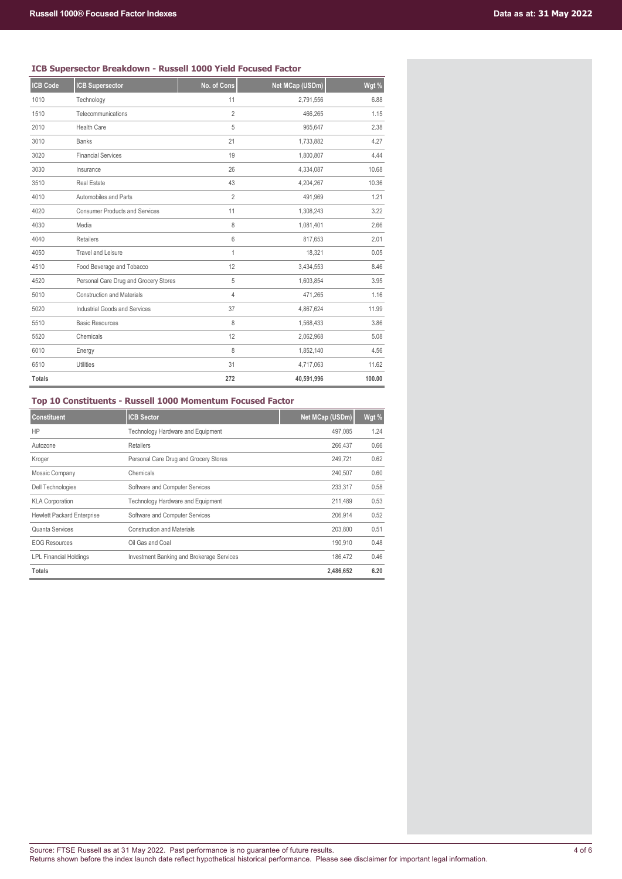# **ICB Supersector Breakdown - Russell 1000 Yield Focused Factor**

| <b>ICB Code</b> | <b>ICB Supersector</b>                | No. of Cons    | Net MCap (USDm) | Wgt %  |
|-----------------|---------------------------------------|----------------|-----------------|--------|
|                 |                                       |                |                 |        |
| 1010            | Technology                            | 11             | 2,791,556       | 6.88   |
| 1510            | Telecommunications                    | $\overline{2}$ | 466,265         | 1.15   |
| 2010            | <b>Health Care</b>                    | 5              | 965,647         | 2.38   |
| 3010            | <b>Banks</b>                          | 21             | 1,733,882       | 4.27   |
| 3020            | <b>Financial Services</b>             | 19             | 1,800,807       | 4.44   |
| 3030            | Insurance                             | 26             | 4,334,087       | 10.68  |
| 3510            | <b>Real Estate</b>                    | 43             | 4,204,267       | 10.36  |
| 4010            | Automobiles and Parts                 | $\overline{2}$ | 491,969         | 1.21   |
| 4020            | <b>Consumer Products and Services</b> | 11             | 1,308,243       | 3.22   |
| 4030            | Media                                 | 8              | 1,081,401       | 2.66   |
| 4040            | Retailers                             | 6              | 817,653         | 2.01   |
| 4050            | <b>Travel and Leisure</b>             | 1              | 18,321          | 0.05   |
| 4510            | Food Beverage and Tobacco             | 12             | 3,434,553       | 8.46   |
| 4520            | Personal Care Drug and Grocery Stores | 5              | 1,603,854       | 3.95   |
| 5010            | <b>Construction and Materials</b>     | 4              | 471.265         | 1.16   |
| 5020            | Industrial Goods and Services         | 37             | 4,867,624       | 11.99  |
| 5510            | <b>Basic Resources</b>                | 8              | 1,568,433       | 3.86   |
| 5520            | Chemicals                             | 12             | 2,062,968       | 5.08   |
| 6010            | Energy                                | 8              | 1,852,140       | 4.56   |
| 6510            | <b>Utilities</b>                      | 31             | 4,717,063       | 11.62  |
| <b>Totals</b>   |                                       | 272            | 40,591,996      | 100.00 |

# **Top 10 Constituents - Russell 1000 Momentum Focused Factor**

| <b>Constituent</b>                | <b>ICB Sector</b>                                | Net MCap (USDm) | Wgt % |
|-----------------------------------|--------------------------------------------------|-----------------|-------|
| HP                                | Technology Hardware and Equipment                | 497.085         | 1.24  |
| Autozone                          | <b>Retailers</b>                                 | 266,437         | 0.66  |
| Kroger                            | Personal Care Drug and Grocery Stores            | 249.721         | 0.62  |
| Mosaic Company                    | Chemicals                                        | 240,507         | 0.60  |
| <b>Dell Technologies</b>          | Software and Computer Services                   | 233,317         | 0.58  |
| <b>KLA Corporation</b>            | Technology Hardware and Equipment                | 211,489         | 0.53  |
| <b>Hewlett Packard Enterprise</b> | Software and Computer Services                   | 206,914         | 0.52  |
| Quanta Services                   | <b>Construction and Materials</b>                | 203,800         | 0.51  |
| <b>EOG Resources</b>              | Oil Gas and Coal                                 | 190,910         | 0.48  |
| <b>LPL Financial Holdings</b>     | <b>Investment Banking and Brokerage Services</b> | 186.472         | 0.46  |
| <b>Totals</b>                     |                                                  | 2,486,652       | 6.20  |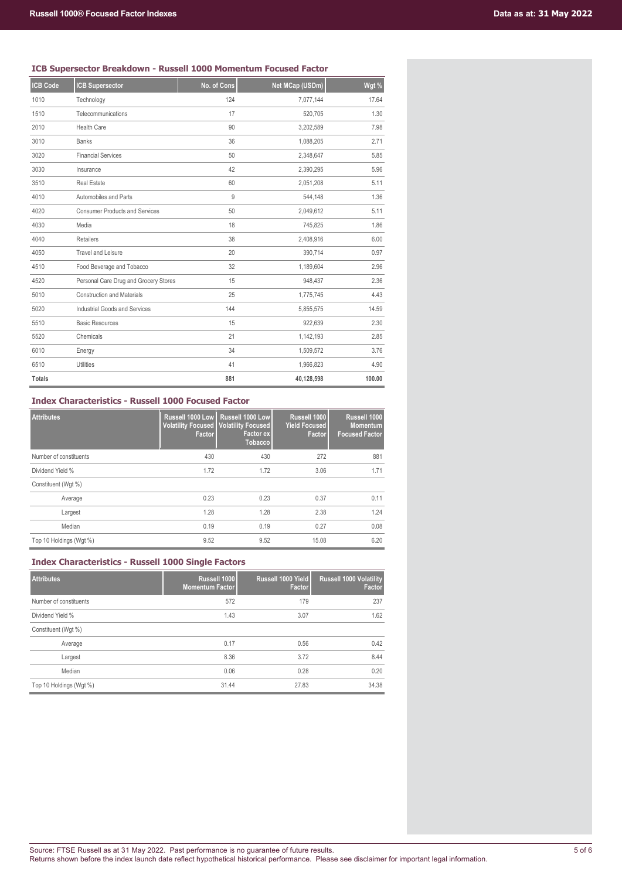### **ICB Supersector Breakdown - Russell 1000 Momentum Focused Factor**

| <b>ICB Code</b> | <b>ICB Supersector</b>                | No. of Cons | Net MCap (USDm) | Wgt %  |
|-----------------|---------------------------------------|-------------|-----------------|--------|
| 1010            | Technology                            | 124         | 7,077,144       | 17.64  |
| 1510            | Telecommunications                    | 17          | 520,705         | 1.30   |
| 2010            | <b>Health Care</b>                    | 90          | 3,202,589       | 7.98   |
| 3010            | <b>Banks</b>                          | 36          | 1,088,205       | 2.71   |
| 3020            | <b>Financial Services</b>             | 50          | 2,348,647       | 5.85   |
| 3030            | Insurance                             | 42          | 2,390,295       | 5.96   |
| 3510            | <b>Real Estate</b>                    | 60          | 2,051,208       | 5.11   |
| 4010            | Automobiles and Parts                 | 9           | 544,148         | 1.36   |
| 4020            | <b>Consumer Products and Services</b> | 50          | 2,049,612       | 5.11   |
| 4030            | Media                                 | 18          | 745,825         | 1.86   |
| 4040            | <b>Retailers</b>                      | 38          | 2,408,916       | 6.00   |
| 4050            | <b>Travel and Leisure</b>             | 20          | 390,714         | 0.97   |
| 4510            | Food Beverage and Tobacco             | 32          | 1,189,604       | 2.96   |
| 4520            | Personal Care Drug and Grocery Stores | 15          | 948,437         | 2.36   |
| 5010            | <b>Construction and Materials</b>     | 25          | 1,775,745       | 4.43   |
| 5020            | Industrial Goods and Services         | 144         | 5,855,575       | 14.59  |
| 5510            | <b>Basic Resources</b>                | 15          | 922,639         | 2.30   |
| 5520            | Chemicals                             | 21          | 1,142,193       | 2.85   |
| 6010            | Energy                                | 34          | 1,509,572       | 3.76   |
| 6510            | <b>Utilities</b>                      | 41          | 1,966,823       | 4.90   |
| <b>Totals</b>   |                                       | 881         | 40,128,598      | 100.00 |

#### **Index Characteristics - Russell 1000 Focused Factor**

| <b>Attributes</b>       | Russell 1000 Low<br><b>Factor</b> | Russell 1000 Low<br><b>Volatility Focused   Volatility Focused</b><br>Factor ex<br><b>Tobacco</b> | Russell 1000<br><b>Yield Focused</b><br><b>Factor</b> | Russell 1000<br><b>Momentum</b><br><b>Focused Factor</b> |
|-------------------------|-----------------------------------|---------------------------------------------------------------------------------------------------|-------------------------------------------------------|----------------------------------------------------------|
| Number of constituents  | 430                               | 430                                                                                               | 272                                                   | 881                                                      |
| Dividend Yield %        | 1.72                              | 1.72                                                                                              | 3.06                                                  | 1.71                                                     |
| Constituent (Wgt %)     |                                   |                                                                                                   |                                                       |                                                          |
| Average                 | 0.23                              | 0.23                                                                                              | 0.37                                                  | 0.11                                                     |
| Largest                 | 1.28                              | 1.28                                                                                              | 2.38                                                  | 1.24                                                     |
| Median                  | 0.19                              | 0.19                                                                                              | 0.27                                                  | 0.08                                                     |
| Top 10 Holdings (Wgt %) | 9.52                              | 9.52                                                                                              | 15.08                                                 | 6.20                                                     |

# **Index Characteristics - Russell 1000 Single Factors**

| <b>Attributes</b>       | Russell 1000<br><b>Momentum Factor</b> | Russell 1000 Yield<br>Factor | <b>Russell 1000 Volatility</b><br>Factor |
|-------------------------|----------------------------------------|------------------------------|------------------------------------------|
| Number of constituents  | 572                                    | 179                          | 237                                      |
| Dividend Yield %        | 1.43                                   | 3.07                         | 1.62                                     |
| Constituent (Wgt %)     |                                        |                              |                                          |
| Average                 | 0.17                                   | 0.56                         | 0.42                                     |
| Largest                 | 8.36                                   | 3.72                         | 8.44                                     |
| Median                  | 0.06                                   | 0.28                         | 0.20                                     |
| Top 10 Holdings (Wgt %) | 31.44                                  | 27.83                        | 34.38                                    |